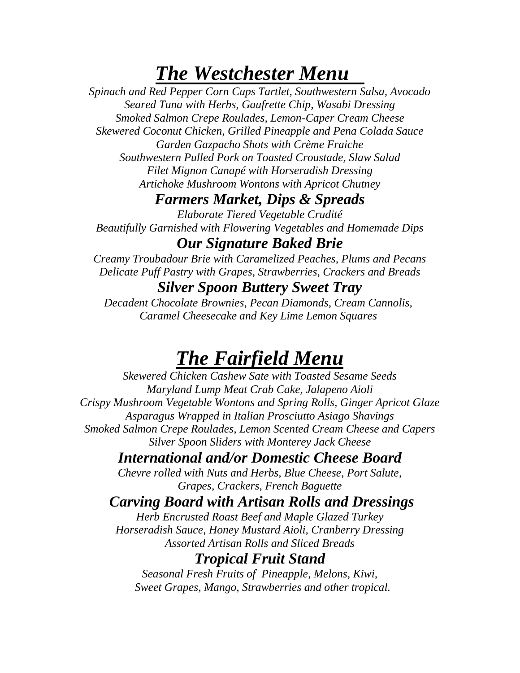# *The Westchester Menu*

*Spinach and Red Pepper Corn Cups Tartlet, Southwestern Salsa, Avocado Seared Tuna with Herbs, Gaufrette Chip, Wasabi Dressing Smoked Salmon Crepe Roulades, Lemon-Caper Cream Cheese Skewered Coconut Chicken, Grilled Pineapple and Pena Colada Sauce Garden Gazpacho Shots with Crème Fraiche Southwestern Pulled Pork on Toasted Croustade, Slaw Salad Filet Mignon Canapé with Horseradish Dressing Artichoke Mushroom Wontons with Apricot Chutney*

#### *Farmers Market, Dips & Spreads*

*Elaborate Tiered Vegetable Crudité Beautifully Garnished with Flowering Vegetables and Homemade Dips*

#### *Our Signature Baked Brie*

*Creamy Troubadour Brie with Caramelized Peaches, Plums and Pecans Delicate Puff Pastry with Grapes, Strawberries, Crackers and Breads*

#### *Silver Spoon Buttery Sweet Tray*

*Decadent Chocolate Brownies, Pecan Diamonds, Cream Cannolis, Caramel Cheesecake and Key Lime Lemon Squares*

# *The Fairfield Menu*

*Skewered Chicken Cashew Sate with Toasted Sesame Seeds Maryland Lump Meat Crab Cake, Jalapeno Aioli Crispy Mushroom Vegetable Wontons and Spring Rolls, Ginger Apricot Glaze Asparagus Wrapped in Italian Prosciutto Asiago Shavings Smoked Salmon Crepe Roulades, Lemon Scented Cream Cheese and Capers Silver Spoon Sliders with Monterey Jack Cheese*

## *International and/or Domestic Cheese Board*

*Chevre rolled with Nuts and Herbs, Blue Cheese, Port Salute, Grapes, Crackers, French Baguette*

## *Carving Board with Artisan Rolls and Dressings*

*Herb Encrusted Roast Beef and Maple Glazed Turkey Horseradish Sauce, Honey Mustard Aioli, Cranberry Dressing Assorted Artisan Rolls and Sliced Breads*

## *Tropical Fruit Stand*

*Seasonal Fresh Fruits of Pineapple, Melons, Kiwi, Sweet Grapes, Mango, Strawberries and other tropical.*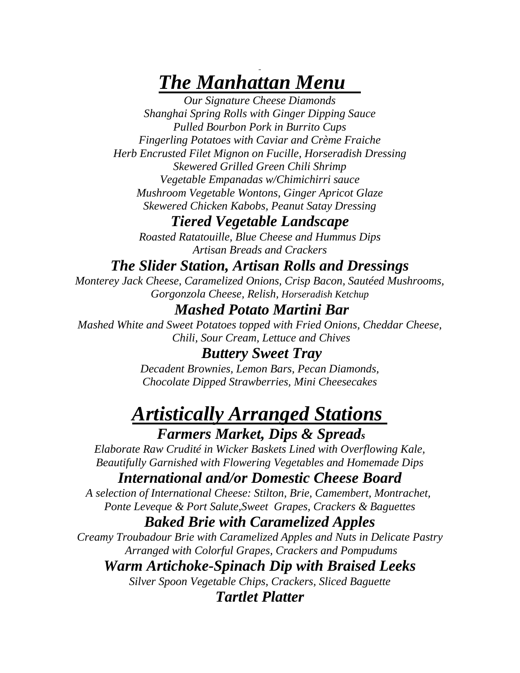# *The Manhattan Menu*

*Our Signature Cheese Diamonds Shanghai Spring Rolls with Ginger Dipping Sauce Pulled Bourbon Pork in Burrito Cups Fingerling Potatoes with Caviar and Crème Fraiche Herb Encrusted Filet Mignon on Fucille, Horseradish Dressing Skewered Grilled Green Chili Shrimp Vegetable Empanadas w/Chimichirri sauce Mushroom Vegetable Wontons, Ginger Apricot Glaze Skewered Chicken Kabobs, Peanut Satay Dressing*

## *Tiered Vegetable Landscape*

*Roasted Ratatouille, Blue Cheese and Hummus Dips Artisan Breads and Crackers*

## *The Slider Station, Artisan Rolls and Dressings*

*Monterey Jack Cheese, Caramelized Onions, Crisp Bacon, Sautéed Mushrooms, Gorgonzola Cheese, Relish, Horseradish Ketchup*

# *Mashed Potato Martini Bar*

*Mashed White and Sweet Potatoes topped with Fried Onions, Cheddar Cheese, Chili, Sour Cream, Lettuce and Chives*

#### *Buttery Sweet Tray*

*Decadent Brownies, Lemon Bars, Pecan Diamonds, Chocolate Dipped Strawberries, Mini Cheesecakes*

# *Artistically Arranged Stations Farmers Market, Dips & Spread<sup>s</sup>*

*Elaborate Raw Crudité in Wicker Baskets Lined with Overflowing Kale, Beautifully Garnished with Flowering Vegetables and Homemade Dips*

#### *International and/or Domestic Cheese Board*

*A selection of International Cheese: Stilton, Brie, Camembert, Montrachet, Ponte Leveque & Port Salute,Sweet Grapes, Crackers & Baguettes*

#### *Baked Brie with Caramelized Apples*

*Creamy Troubadour Brie with Caramelized Apples and Nuts in Delicate Pastry Arranged with Colorful Grapes, Crackers and Pompudums*

#### *Warm Artichoke-Spinach Dip with Braised Leeks*

*Silver Spoon Vegetable Chips, Crackers, Sliced Baguette Tartlet Platter*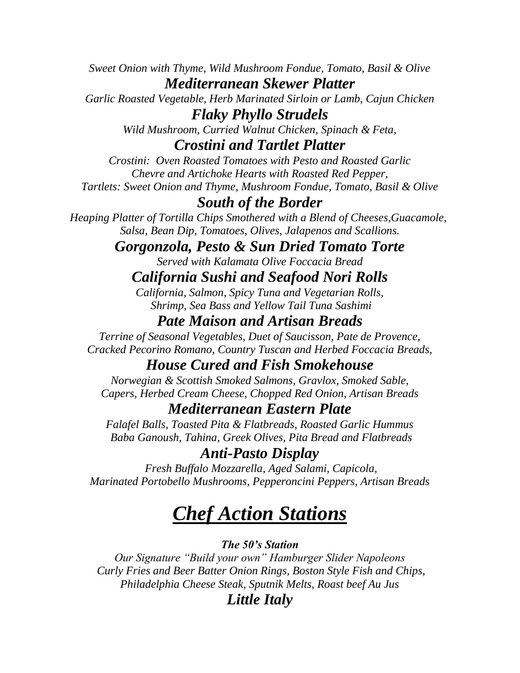*Sweet Onion with Thyme, Wild Mushroom Fondue, Tomato, Basil & Olive Mediterranean Skewer Platter*

*Garlic Roasted Vegetable, Herb Marinated Sirloin or Lamb, Cajun Chicken Flaky Phyllo Strudels*

*Wild Mushroom, Curried Walnut Chicken, Spinach & Feta,*

#### *Crostini and Tartlet Platter*

*Crostini: Oven Roasted Tomatoes with Pesto and Roasted Garlic Chevre and Artichoke Hearts with Roasted Red Pepper, Tartlets: Sweet Onion and Thyme, Mushroom Fondue, Tomato, Basil & Olive*

#### *South of the Border*

*Heaping Platter of Tortilla Chips Smothered with a Blend of Cheeses,Guacamole, Salsa, Bean Dip, Tomatoes, Olives, Jalapenos and Scallions.*

#### *Gorgonzola, Pesto & Sun Dried Tomato Torte*

*Served with Kalamata Olive Foccacia Bread*

#### *California Sushi and Seafood Nori Rolls*

*California, Salmon, Spicy Tuna and Vegetarian Rolls, Shrimp, Sea Bass and Yellow Tail Tuna Sashimi*

# *Pate Maison and Artisan Breads*

*Terrine of Seasonal Vegetables, Duet of Saucisson, Pate de Provence, Cracked Pecorino Romano, Country Tuscan and Herbed Foccacia Breads,*

#### *House Cured and Fish Smokehouse*

*Norwegian & Scottish Smoked Salmons, Gravlox, Smoked Sable, Capers, Herbed Cream Cheese, Chopped Red Onion, Artisan Breads*

#### *Mediterranean Eastern Plate*

*Falafel Balls, Toasted Pita & Flatbreads, Roasted Garlic Hummus Baba Ganoush, Tahina, Greek Olives, Pita Bread and Flatbreads*

#### *Anti-Pasto Display*

*Fresh Buffalo Mozzarella, Aged Salami, Capicola, Marinated Portobello Mushrooms, Pepperoncini Peppers, Artisan Breads*

# *Chef Action Stations*

*The 50's Station*

*Our Signature "Build your own" Hamburger Slider Napoleons Curly Fries and Beer Batter Onion Rings, Boston Style Fish and Chips, Philadelphia Cheese Steak, Sputnik Melts, Roast beef Au Jus*

# *Little Italy*